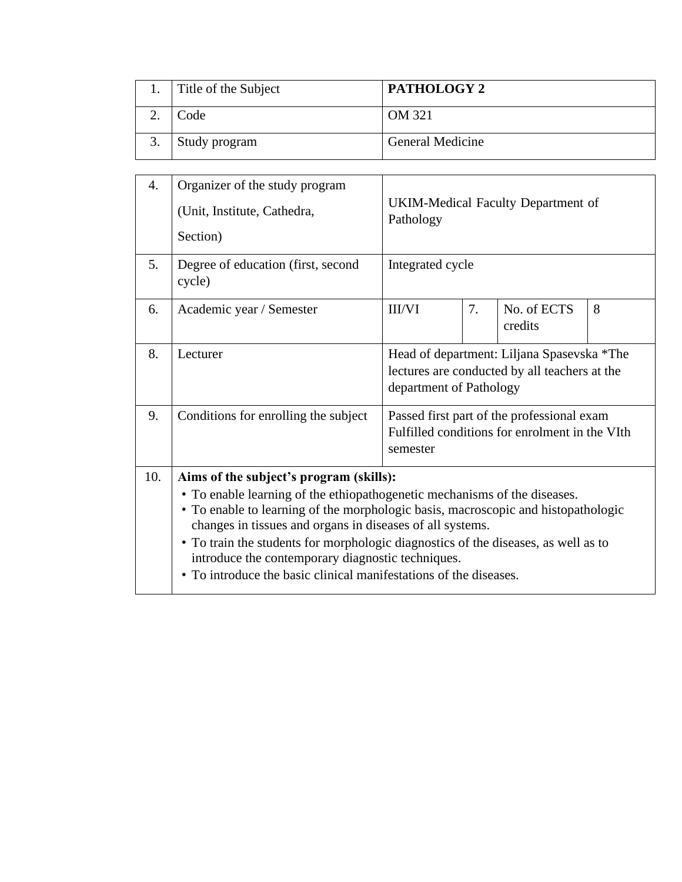| Title of the Subject | PATHOLOGY 2             |
|----------------------|-------------------------|
| Code                 | OM 321                  |
| Study program        | <b>General Medicine</b> |

| 4.  | Organizer of the study program<br>(Unit, Institute, Cathedra,<br>Section)                                                                                                                                                                                                                                                                                                                                                                                                              | UKIM-Medical Faculty Department of<br>Pathology                                                                        |  |  |  |  |
|-----|----------------------------------------------------------------------------------------------------------------------------------------------------------------------------------------------------------------------------------------------------------------------------------------------------------------------------------------------------------------------------------------------------------------------------------------------------------------------------------------|------------------------------------------------------------------------------------------------------------------------|--|--|--|--|
| 5.  | Degree of education (first, second<br>cycle)                                                                                                                                                                                                                                                                                                                                                                                                                                           | Integrated cycle                                                                                                       |  |  |  |  |
| 6.  | Academic year / Semester                                                                                                                                                                                                                                                                                                                                                                                                                                                               | 7.<br>8<br><b>III/VI</b><br>No. of ECTS<br>credits                                                                     |  |  |  |  |
| 8.  | Lecturer                                                                                                                                                                                                                                                                                                                                                                                                                                                                               | Head of department: Liljana Spasevska *The<br>lectures are conducted by all teachers at the<br>department of Pathology |  |  |  |  |
| 9.  | Conditions for enrolling the subject                                                                                                                                                                                                                                                                                                                                                                                                                                                   | Passed first part of the professional exam<br>Fulfilled conditions for enrolment in the VIth<br>semester               |  |  |  |  |
| 10. | Aims of the subject's program (skills):<br>• To enable learning of the ethiopathogenetic mechanisms of the diseases.<br>• To enable to learning of the morphologic basis, macroscopic and histopathologic<br>changes in tissues and organs in diseases of all systems.<br>• To train the students for morphologic diagnostics of the diseases, as well as to<br>introduce the contemporary diagnostic techniques.<br>• To introduce the basic clinical manifestations of the diseases. |                                                                                                                        |  |  |  |  |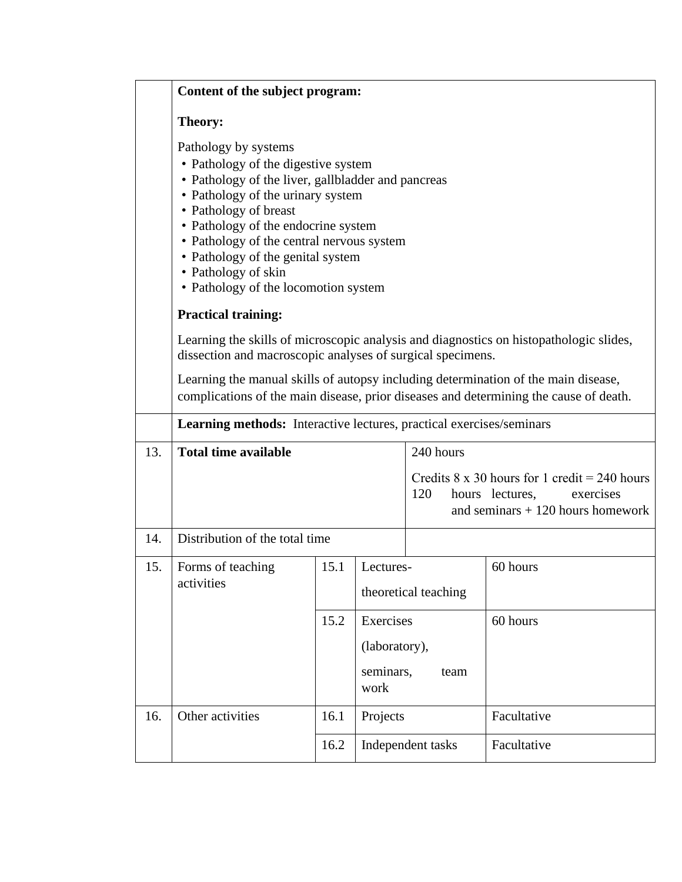|     | Content of the subject program:                                                                                                                                                                                                                                                                                                                                         |                   |                   |                                                                                                                                   |             |  |  |  |  |  |
|-----|-------------------------------------------------------------------------------------------------------------------------------------------------------------------------------------------------------------------------------------------------------------------------------------------------------------------------------------------------------------------------|-------------------|-------------------|-----------------------------------------------------------------------------------------------------------------------------------|-------------|--|--|--|--|--|
|     | Theory:                                                                                                                                                                                                                                                                                                                                                                 |                   |                   |                                                                                                                                   |             |  |  |  |  |  |
|     | Pathology by systems<br>• Pathology of the digestive system<br>• Pathology of the liver, gallbladder and pancreas<br>• Pathology of the urinary system<br>• Pathology of breast<br>• Pathology of the endocrine system<br>• Pathology of the central nervous system<br>• Pathology of the genital system<br>• Pathology of skin<br>• Pathology of the locomotion system |                   |                   |                                                                                                                                   |             |  |  |  |  |  |
|     | <b>Practical training:</b>                                                                                                                                                                                                                                                                                                                                              |                   |                   |                                                                                                                                   |             |  |  |  |  |  |
|     | Learning the skills of microscopic analysis and diagnostics on histopathologic slides,<br>dissection and macroscopic analyses of surgical specimens.                                                                                                                                                                                                                    |                   |                   |                                                                                                                                   |             |  |  |  |  |  |
|     | Learning the manual skills of autopsy including determination of the main disease,<br>complications of the main disease, prior diseases and determining the cause of death.                                                                                                                                                                                             |                   |                   |                                                                                                                                   |             |  |  |  |  |  |
|     | Learning methods: Interactive lectures, practical exercises/seminars                                                                                                                                                                                                                                                                                                    |                   |                   |                                                                                                                                   |             |  |  |  |  |  |
| 13. | <b>Total time available</b>                                                                                                                                                                                                                                                                                                                                             |                   |                   | 240 hours                                                                                                                         |             |  |  |  |  |  |
|     |                                                                                                                                                                                                                                                                                                                                                                         |                   |                   | Credits $8 \times 30$ hours for 1 credit = 240 hours<br>120<br>hours lectures,<br>exercises<br>and seminars $+120$ hours homework |             |  |  |  |  |  |
| 14. | Distribution of the total time                                                                                                                                                                                                                                                                                                                                          |                   |                   |                                                                                                                                   |             |  |  |  |  |  |
| 15. | Forms of teaching<br>activities                                                                                                                                                                                                                                                                                                                                         | 15.1              | Lectures-         | theoretical teaching                                                                                                              | 60 hours    |  |  |  |  |  |
|     |                                                                                                                                                                                                                                                                                                                                                                         | Exercises<br>15.2 |                   |                                                                                                                                   | 60 hours    |  |  |  |  |  |
|     |                                                                                                                                                                                                                                                                                                                                                                         |                   | (laboratory),     |                                                                                                                                   |             |  |  |  |  |  |
|     |                                                                                                                                                                                                                                                                                                                                                                         |                   | seminars,<br>work | team                                                                                                                              |             |  |  |  |  |  |
| 16. | Other activities                                                                                                                                                                                                                                                                                                                                                        | 16.1              | Projects          |                                                                                                                                   | Facultative |  |  |  |  |  |
|     |                                                                                                                                                                                                                                                                                                                                                                         | 16.2              |                   | Independent tasks                                                                                                                 | Facultative |  |  |  |  |  |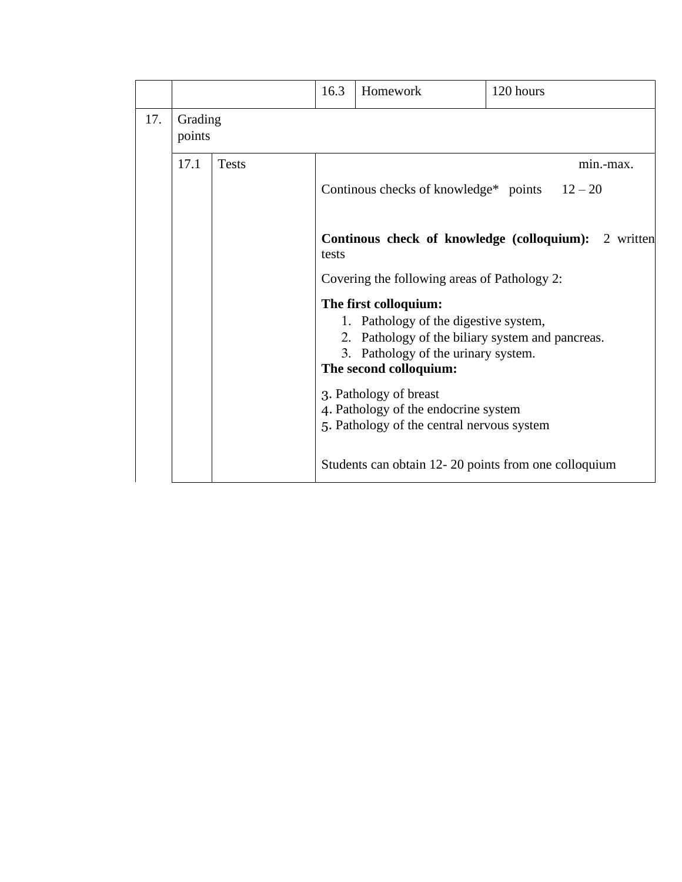|     |                                                                      |                                                                                    | 16.3                                                 | Homework                                                                                                                                                                            | 120 hours |  |  |  |  |  |
|-----|----------------------------------------------------------------------|------------------------------------------------------------------------------------|------------------------------------------------------|-------------------------------------------------------------------------------------------------------------------------------------------------------------------------------------|-----------|--|--|--|--|--|
| 17. | Grading<br>points                                                    |                                                                                    |                                                      |                                                                                                                                                                                     |           |  |  |  |  |  |
|     | 17.1                                                                 | <b>Tests</b>                                                                       |                                                      |                                                                                                                                                                                     | min.-max. |  |  |  |  |  |
|     |                                                                      |                                                                                    | Continuous checks of knowledge* points $12-20$       |                                                                                                                                                                                     |           |  |  |  |  |  |
|     | <b>Continous check of knowledge (colloquium):</b> 2 written<br>tests |                                                                                    |                                                      |                                                                                                                                                                                     |           |  |  |  |  |  |
|     |                                                                      |                                                                                    | Covering the following areas of Pathology 2:         |                                                                                                                                                                                     |           |  |  |  |  |  |
|     |                                                                      |                                                                                    |                                                      | The first colloquium:<br>1. Pathology of the digestive system,<br>2. Pathology of the biliary system and pancreas.<br>3. Pathology of the urinary system.<br>The second colloquium: |           |  |  |  |  |  |
|     |                                                                      | 4. Pathology of the endocrine system<br>5. Pathology of the central nervous system |                                                      |                                                                                                                                                                                     |           |  |  |  |  |  |
|     |                                                                      |                                                                                    | Students can obtain 12-20 points from one colloquium |                                                                                                                                                                                     |           |  |  |  |  |  |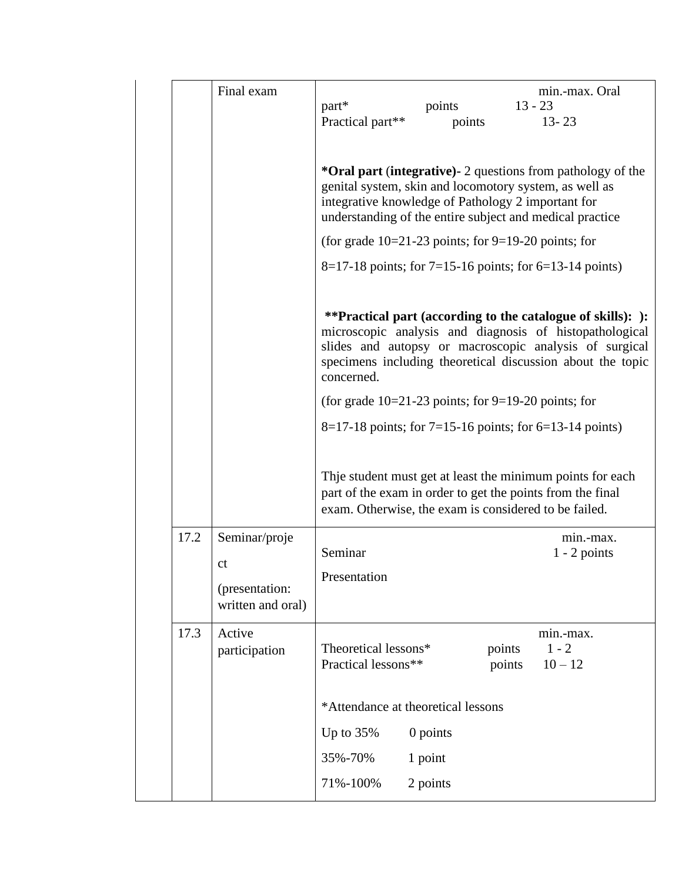|      | Final exam                                                            | part*<br>Practical part**                                 | points<br>points                                                                                                                                                                                                                               | min.-max. Oral<br>$13 - 23$<br>$13 - 23$                                                                                                                                                                                                 |  |  |  |
|------|-----------------------------------------------------------------------|-----------------------------------------------------------|------------------------------------------------------------------------------------------------------------------------------------------------------------------------------------------------------------------------------------------------|------------------------------------------------------------------------------------------------------------------------------------------------------------------------------------------------------------------------------------------|--|--|--|
|      |                                                                       |                                                           |                                                                                                                                                                                                                                                | *Oral part (integrative) - 2 questions from pathology of the<br>genital system, skin and locomotory system, as well as<br>integrative knowledge of Pathology 2 important for<br>understanding of the entire subject and medical practice |  |  |  |
|      |                                                                       |                                                           |                                                                                                                                                                                                                                                | (for grade $10=21-23$ points; for 9=19-20 points; for                                                                                                                                                                                    |  |  |  |
|      |                                                                       |                                                           |                                                                                                                                                                                                                                                | $8=17-18$ points; for 7=15-16 points; for 6=13-14 points)                                                                                                                                                                                |  |  |  |
|      |                                                                       | concerned.                                                | **Practical part (according to the catalogue of skills): ):<br>microscopic analysis and diagnosis of histopathological<br>slides and autopsy or macroscopic analysis of surgical<br>specimens including theoretical discussion about the topic |                                                                                                                                                                                                                                          |  |  |  |
|      |                                                                       |                                                           |                                                                                                                                                                                                                                                | (for grade $10=21-23$ points; for 9=19-20 points; for                                                                                                                                                                                    |  |  |  |
|      |                                                                       | $8=17-18$ points; for 7=15-16 points; for 6=13-14 points) |                                                                                                                                                                                                                                                |                                                                                                                                                                                                                                          |  |  |  |
|      |                                                                       |                                                           |                                                                                                                                                                                                                                                | Thje student must get at least the minimum points for each<br>part of the exam in order to get the points from the final<br>exam. Otherwise, the exam is considered to be failed.                                                        |  |  |  |
| 17.2 | Seminar/proje<br><sub>ct</sub><br>(presentation:<br>written and oral) | Seminar<br>Presentation                                   |                                                                                                                                                                                                                                                | min.-max.<br>$1 - 2$ points                                                                                                                                                                                                              |  |  |  |
| 17.3 | Active<br>participation                                               | Theoretical lessons*<br>Practical lessons**               |                                                                                                                                                                                                                                                | min.-max.<br>points<br>$1 - 2$<br>$10 - 12$<br>points                                                                                                                                                                                    |  |  |  |
|      |                                                                       |                                                           | *Attendance at theoretical lessons                                                                                                                                                                                                             |                                                                                                                                                                                                                                          |  |  |  |
|      |                                                                       | Up to $35%$                                               | 0 points                                                                                                                                                                                                                                       |                                                                                                                                                                                                                                          |  |  |  |
|      |                                                                       | 35%-70%                                                   | 1 point                                                                                                                                                                                                                                        |                                                                                                                                                                                                                                          |  |  |  |
|      |                                                                       | 71%-100%                                                  | 2 points                                                                                                                                                                                                                                       |                                                                                                                                                                                                                                          |  |  |  |
|      |                                                                       |                                                           |                                                                                                                                                                                                                                                |                                                                                                                                                                                                                                          |  |  |  |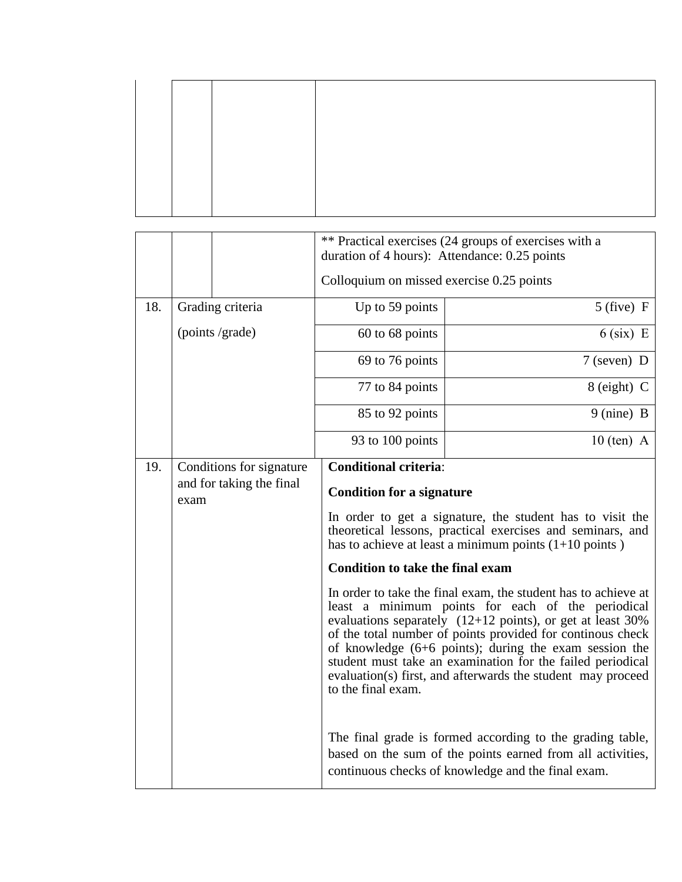|     |      |                                                      | ** Practical exercises (24 groups of exercises with a<br>duration of 4 hours): Attendance: 0.25 points                                                                                                                                                                                                                                                                                                                                                                                                     |                                                                                                                                                                                                                                                                                                                                                                                                                                      |  |  |  |  |
|-----|------|------------------------------------------------------|------------------------------------------------------------------------------------------------------------------------------------------------------------------------------------------------------------------------------------------------------------------------------------------------------------------------------------------------------------------------------------------------------------------------------------------------------------------------------------------------------------|--------------------------------------------------------------------------------------------------------------------------------------------------------------------------------------------------------------------------------------------------------------------------------------------------------------------------------------------------------------------------------------------------------------------------------------|--|--|--|--|
|     |      |                                                      | Colloquium on missed exercise 0.25 points                                                                                                                                                                                                                                                                                                                                                                                                                                                                  |                                                                                                                                                                                                                                                                                                                                                                                                                                      |  |  |  |  |
| 18. |      | Grading criteria                                     | Up to 59 points                                                                                                                                                                                                                                                                                                                                                                                                                                                                                            | $5$ (five) F                                                                                                                                                                                                                                                                                                                                                                                                                         |  |  |  |  |
|     |      | (points /grade)                                      | 60 to 68 points                                                                                                                                                                                                                                                                                                                                                                                                                                                                                            | $6$ (six) E                                                                                                                                                                                                                                                                                                                                                                                                                          |  |  |  |  |
|     |      |                                                      | 69 to 76 points                                                                                                                                                                                                                                                                                                                                                                                                                                                                                            | $7$ (seven) D                                                                                                                                                                                                                                                                                                                                                                                                                        |  |  |  |  |
|     |      |                                                      | 77 to 84 points                                                                                                                                                                                                                                                                                                                                                                                                                                                                                            | $8$ (eight) C                                                                                                                                                                                                                                                                                                                                                                                                                        |  |  |  |  |
|     |      |                                                      | 85 to 92 points                                                                                                                                                                                                                                                                                                                                                                                                                                                                                            | 9 (nine) B                                                                                                                                                                                                                                                                                                                                                                                                                           |  |  |  |  |
|     |      |                                                      | 93 to 100 points                                                                                                                                                                                                                                                                                                                                                                                                                                                                                           | $10$ (ten) A                                                                                                                                                                                                                                                                                                                                                                                                                         |  |  |  |  |
| 19. | exam | Conditions for signature<br>and for taking the final | <b>Conditional criteria:</b><br><b>Condition for a signature</b><br>In order to get a signature, the student has to visit the<br>theoretical lessons, practical exercises and seminars, and<br>has to achieve at least a minimum points $(1+10 \text{ points})$<br><b>Condition to take the final exam</b><br>In order to take the final exam, the student has to achieve at<br>least a minimum points for each of the periodical<br>evaluations separately $(12+12 \text{ points})$ , or get at least 30% |                                                                                                                                                                                                                                                                                                                                                                                                                                      |  |  |  |  |
|     |      |                                                      | to the final exam.                                                                                                                                                                                                                                                                                                                                                                                                                                                                                         | of the total number of points provided for continous check<br>of knowledge $(6+6$ points); during the exam session the<br>student must take an examination for the failed periodical<br>evaluation(s) first, and afterwards the student may proceed<br>The final grade is formed according to the grading table,<br>based on the sum of the points earned from all activities,<br>continuous checks of knowledge and the final exam. |  |  |  |  |